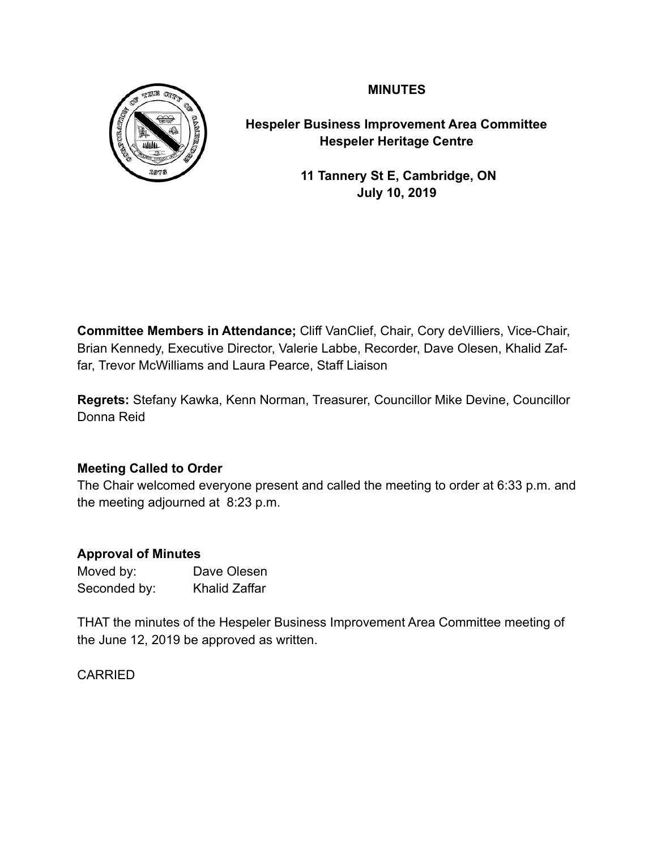**MINUTES** 



**Hespeler Business Improvement Area Committee Hespeler Heritage Centre** 

> **11 Tannery St E, Cambridge, ON July 10, 2019**

**Committee Members in Attendance;** Cliff VanClief, Chair, Cory deVilliers, Vice-Chair, Brian Kennedy, Executive Director, Valerie Labbe, Recorder, Dave Olesen, Khalid Zaffar, Trevor McWilliams and Laura Pearce, Staff Liaison

**Regrets:** Stefany Kawka, Kenn Norman, Treasurer, Councillor Mike Devine, Councillor Donna Reid

# **Meeting Called to Order**

The Chair welcomed everyone present and called the meeting to order at 6:33 p.m. and the meeting adjourned at 8:23 p.m.

# **Approval of Minutes**

| Moved by:    | Dave Olesen          |
|--------------|----------------------|
| Seconded by: | <b>Khalid Zaffar</b> |

THAT the minutes of the Hespeler Business Improvement Area Committee meeting of the June 12, 2019 be approved as written.

# CARRIED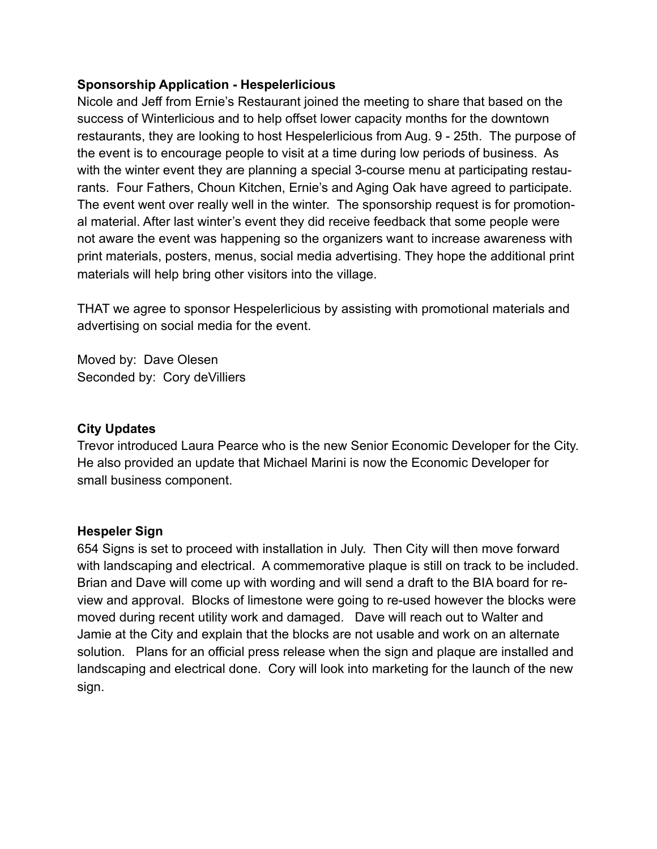#### **Sponsorship Application - Hespelerlicious**

Nicole and Jeff from Ernie's Restaurant joined the meeting to share that based on the success of Winterlicious and to help offset lower capacity months for the downtown restaurants, they are looking to host Hespelerlicious from Aug. 9 - 25th. The purpose of the event is to encourage people to visit at a time during low periods of business. As with the winter event they are planning a special 3-course menu at participating restaurants. Four Fathers, Choun Kitchen, Ernie's and Aging Oak have agreed to participate. The event went over really well in the winter. The sponsorship request is for promotional material. After last winter's event they did receive feedback that some people were not aware the event was happening so the organizers want to increase awareness with print materials, posters, menus, social media advertising. They hope the additional print materials will help bring other visitors into the village.

THAT we agree to sponsor Hespelerlicious by assisting with promotional materials and advertising on social media for the event.

Moved by: Dave Olesen Seconded by: Cory deVilliers

### **City Updates**

Trevor introduced Laura Pearce who is the new Senior Economic Developer for the City. He also provided an update that Michael Marini is now the Economic Developer for small business component.

#### **Hespeler Sign**

654 Signs is set to proceed with installation in July. Then City will then move forward with landscaping and electrical. A commemorative plaque is still on track to be included. Brian and Dave will come up with wording and will send a draft to the BIA board for review and approval. Blocks of limestone were going to re-used however the blocks were moved during recent utility work and damaged. Dave will reach out to Walter and Jamie at the City and explain that the blocks are not usable and work on an alternate solution. Plans for an official press release when the sign and plaque are installed and landscaping and electrical done. Cory will look into marketing for the launch of the new sign.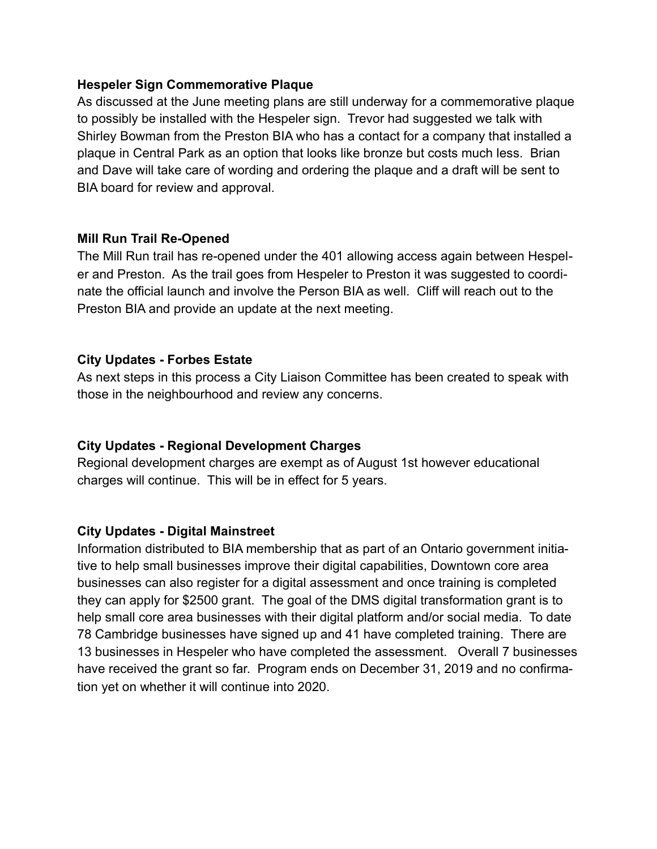#### **Hespeler Sign Commemorative Plaque**

As discussed at the June meeting plans are still underway for a commemorative plaque to possibly be installed with the Hespeler sign. Trevor had suggested we talk with Shirley Bowman from the Preston BIA who has a contact for a company that installed a plaque in Central Park as an option that looks like bronze but costs much less. Brian and Dave will take care of wording and ordering the plaque and a draft will be sent to BIA board for review and approval.

#### **Mill Run Trail Re-Opened**

The Mill Run trail has re-opened under the 401 allowing access again between Hespeler and Preston. As the trail goes from Hespeler to Preston it was suggested to coordinate the official launch and involve the Person BIA as well. Cliff will reach out to the Preston BIA and provide an update at the next meeting.

# **City Updates - Forbes Estate**

As next steps in this process a City Liaison Committee has been created to speak with those in the neighbourhood and review any concerns.

# **City Updates - Regional Development Charges**

Regional development charges are exempt as of August 1st however educational charges will continue. This will be in effect for 5 years.

# **City Updates - Digital Mainstreet**

Information distributed to BIA membership that as part of an Ontario government initiative to help small businesses improve their digital capabilities, Downtown core area businesses can also register for a digital assessment and once training is completed they can apply for \$2500 grant. The goal of the DMS digital transformation grant is to help small core area businesses with their digital platform and/or social media. To date 78 Cambridge businesses have signed up and 41 have completed training. There are 13 businesses in Hespeler who have completed the assessment. Overall 7 businesses have received the grant so far. Program ends on December 31, 2019 and no confirmation yet on whether it will continue into 2020.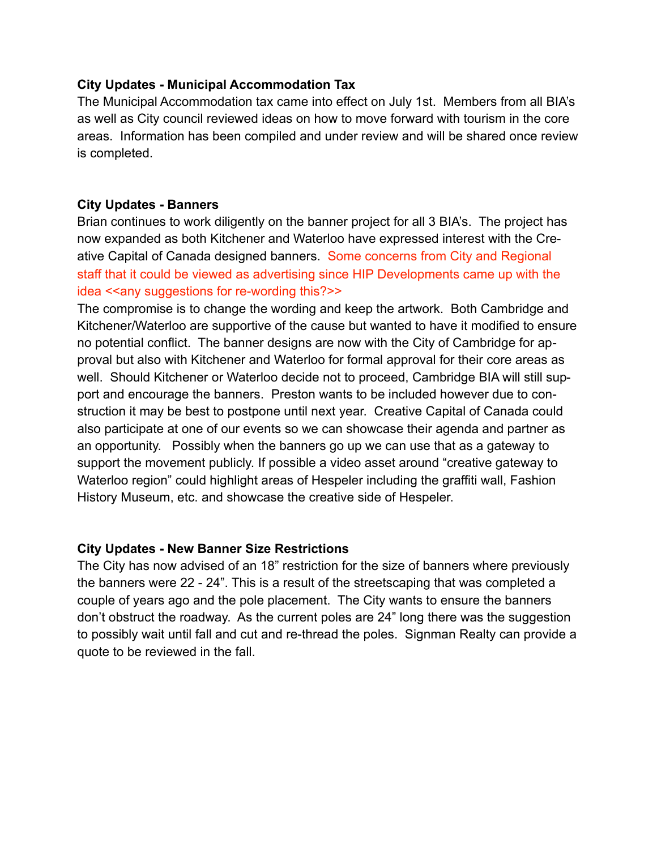#### **City Updates - Municipal Accommodation Tax**

The Municipal Accommodation tax came into effect on July 1st. Members from all BIA's as well as City council reviewed ideas on how to move forward with tourism in the core areas. Information has been compiled and under review and will be shared once review is completed.

#### **City Updates - Banners**

Brian continues to work diligently on the banner project for all 3 BIA's. The project has now expanded as both Kitchener and Waterloo have expressed interest with the Creative Capital of Canada designed banners. Some concerns from City and Regional staff that it could be viewed as advertising since HIP Developments came up with the idea <<any suggestions for re-wording this?>>

The compromise is to change the wording and keep the artwork. Both Cambridge and Kitchener/Waterloo are supportive of the cause but wanted to have it modified to ensure no potential conflict. The banner designs are now with the City of Cambridge for approval but also with Kitchener and Waterloo for formal approval for their core areas as well. Should Kitchener or Waterloo decide not to proceed, Cambridge BIA will still support and encourage the banners. Preston wants to be included however due to construction it may be best to postpone until next year. Creative Capital of Canada could also participate at one of our events so we can showcase their agenda and partner as an opportunity. Possibly when the banners go up we can use that as a gateway to support the movement publicly. If possible a video asset around "creative gateway to Waterloo region" could highlight areas of Hespeler including the graffiti wall, Fashion History Museum, etc. and showcase the creative side of Hespeler.

#### **City Updates - New Banner Size Restrictions**

The City has now advised of an 18" restriction for the size of banners where previously the banners were 22 - 24". This is a result of the streetscaping that was completed a couple of years ago and the pole placement. The City wants to ensure the banners don't obstruct the roadway. As the current poles are 24" long there was the suggestion to possibly wait until fall and cut and re-thread the poles. Signman Realty can provide a quote to be reviewed in the fall.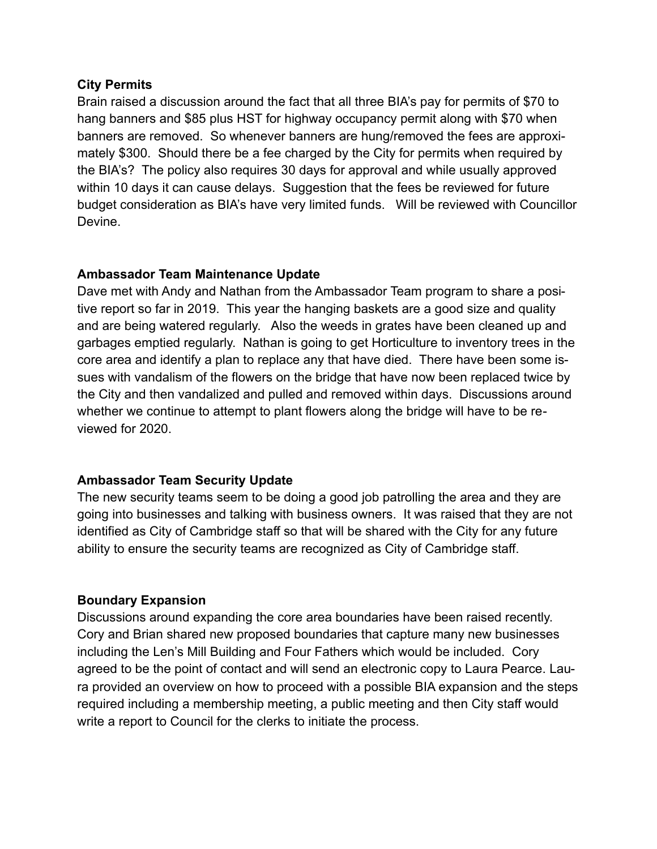#### **City Permits**

Brain raised a discussion around the fact that all three BIA's pay for permits of \$70 to hang banners and \$85 plus HST for highway occupancy permit along with \$70 when banners are removed. So whenever banners are hung/removed the fees are approximately \$300. Should there be a fee charged by the City for permits when required by the BIA's? The policy also requires 30 days for approval and while usually approved within 10 days it can cause delays. Suggestion that the fees be reviewed for future budget consideration as BIA's have very limited funds. Will be reviewed with Councillor Devine.

# **Ambassador Team Maintenance Update**

Dave met with Andy and Nathan from the Ambassador Team program to share a positive report so far in 2019. This year the hanging baskets are a good size and quality and are being watered regularly. Also the weeds in grates have been cleaned up and garbages emptied regularly. Nathan is going to get Horticulture to inventory trees in the core area and identify a plan to replace any that have died. There have been some issues with vandalism of the flowers on the bridge that have now been replaced twice by the City and then vandalized and pulled and removed within days. Discussions around whether we continue to attempt to plant flowers along the bridge will have to be reviewed for 2020.

# **Ambassador Team Security Update**

The new security teams seem to be doing a good job patrolling the area and they are going into businesses and talking with business owners. It was raised that they are not identified as City of Cambridge staff so that will be shared with the City for any future ability to ensure the security teams are recognized as City of Cambridge staff.

# **Boundary Expansion**

Discussions around expanding the core area boundaries have been raised recently. Cory and Brian shared new proposed boundaries that capture many new businesses including the Len's Mill Building and Four Fathers which would be included. Cory agreed to be the point of contact and will send an electronic copy to Laura Pearce. Laura provided an overview on how to proceed with a possible BIA expansion and the steps required including a membership meeting, a public meeting and then City staff would write a report to Council for the clerks to initiate the process.